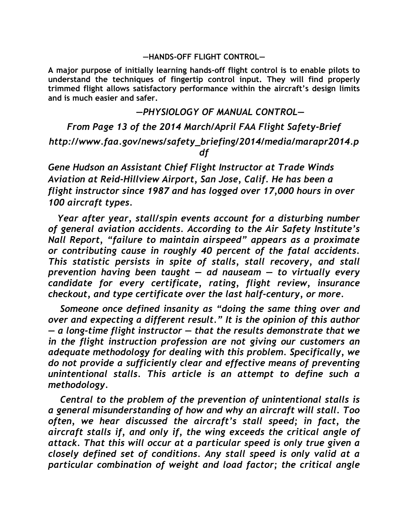#### **—HANDS-OFF FLIGHT CONTROL—**

**A major purpose of initially learning hands-off flight control is to enable pilots to understand the techniques of fingertip control input. They will find properly trimmed flight allows satisfactory performance within the aircraft's design limits and is much easier and safer.**

### *—PHYSIOLOGY OF MANUAL CONTROL—*

# *From Page 13 of the 2014 March/April FAA Flight Safety-Brief http://www.faa.gov/news/safety\_briefing/2014/media/marapr2014.p df*

*Gene Hudson an Assistant Chief Flight Instructor at Trade Winds Aviation at Reid-Hillview Airport, San Jose, Calif. He has been a flight instructor since 1987 and has logged over 17,000 hours in over 100 aircraft types.*

*Year after year, stall/spin events account for a disturbing number of general aviation accidents. According to the Air Safety Institute's Nall Report, "failure to maintain airspeed" appears as a proximate or contributing cause in roughly 40 percent of the fatal accidents. This statistic persists in spite of stalls, stall recovery, and stall prevention having been taught — ad nauseam — to virtually every candidate for every certificate, rating, flight review, insurance checkout, and type certificate over the last half-century, or more.*

*Someone once defined insanity as "doing the same thing over and over and expecting a different result." It is the opinion of this author — a long-time flight instructor — that the results demonstrate that we in the flight instruction profession are not giving our customers an adequate methodology for dealing with this problem. Specifically, we do not provide a sufficiently clear and effective means of preventing unintentional stalls. This article is an attempt to define such a methodology.*

*Central to the problem of the prevention of unintentional stalls is a general misunderstanding of how and why an aircraft will stall. Too often, we hear discussed the aircraft's stall speed; in fact, the aircraft stalls if, and only if, the wing exceeds the critical angle of attack. That this will occur at a particular speed is only true given a closely defined set of conditions. Any stall speed is only valid at a particular combination of weight and load factor; the critical angle*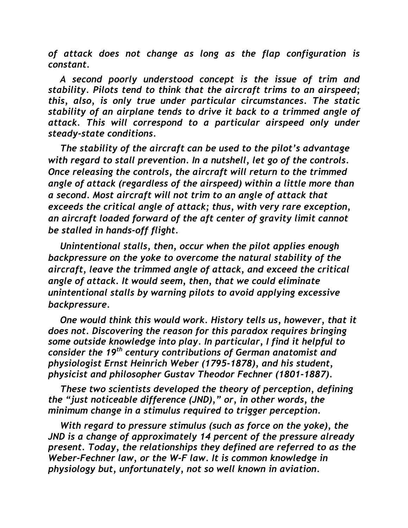*of attack does not change as long as the flap configuration is constant.*

*A second poorly understood concept is the issue of trim and stability. Pilots tend to think that the aircraft trims to an airspeed; this, also, is only true under particular circumstances. The static stability of an airplane tends to drive it back to a trimmed angle of attack. This will correspond to a particular airspeed only under steady-state conditions.*

*The stability of the aircraft can be used to the pilot's advantage with regard to stall prevention. In a nutshell, let go of the controls. Once releasing the controls, the aircraft will return to the trimmed angle of attack (regardless of the airspeed) within a little more than a second. Most aircraft will not trim to an angle of attack that exceeds the critical angle of attack; thus, with very rare exception, an aircraft loaded forward of the aft center of gravity limit cannot be stalled in hands-off flight.*

*Unintentional stalls, then, occur when the pilot applies enough backpressure on the yoke to overcome the natural stability of the aircraft, leave the trimmed angle of attack, and exceed the critical angle of attack. It would seem, then, that we could eliminate unintentional stalls by warning pilots to avoid applying excessive backpressure.*

*One would think this would work. History tells us, however, that it does not. Discovering the reason for this paradox requires bringing some outside knowledge into play. In particular, I find it helpful to consider the 19th century contributions of German anatomist and physiologist Ernst Heinrich Weber (1795-1878), and his student, physicist and philosopher Gustav Theodor Fechner (1801-1887).*

*These two scientists developed the theory of perception, defining the "just noticeable difference (JND)," or, in other words, the minimum change in a stimulus required to trigger perception.*

*With regard to pressure stimulus (such as force on the yoke), the JND is a change of approximately 14 percent of the pressure already present. Today, the relationships they defined are referred to as the Weber-Fechner law, or the W-F law. It is common knowledge in physiology but, unfortunately, not so well known in aviation.*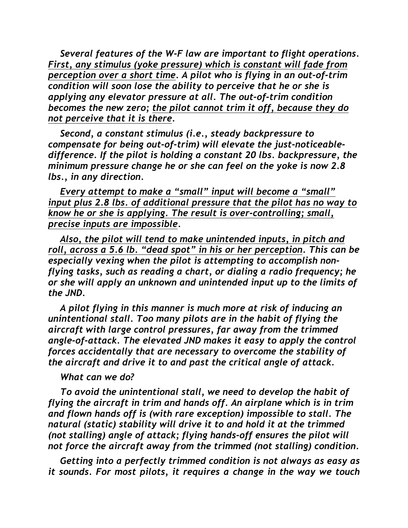*Several features of the W-F law are important to flight operations. First, any stimulus (yoke pressure) which is constant will fade from perception over a short time. A pilot who is flying in an out-of-trim condition will soon lose the ability to perceive that he or she is applying any elevator pressure at all. The out-of-trim condition becomes the new zero; the pilot cannot trim it off, because they do not perceive that it is there.*

*Second, a constant stimulus (i.e., steady backpressure to compensate for being out-of-trim) will elevate the just-noticeabledifference. If the pilot is holding a constant 20 lbs. backpressure, the minimum pressure change he or she can feel on the yoke is now 2.8 lbs., in any direction.*

*Every attempt to make a "small" input will become a "small" input plus 2.8 lbs. of additional pressure that the pilot has no way to know he or she is applying. The result is over-controlling; small, precise inputs are impossible.*

*Also, the pilot will tend to make unintended inputs, in pitch and roll, across a 5.6 lb. "dead spot" in his or her perception. This can be especially vexing when the pilot is attempting to accomplish nonflying tasks, such as reading a chart, or dialing a radio frequency; he or she will apply an unknown and unintended input up to the limits of the JND.*

*A pilot flying in this manner is much more at risk of inducing an unintentional stall. Too many pilots are in the habit of flying the aircraft with large control pressures, far away from the trimmed angle-of-attack. The elevated JND makes it easy to apply the control forces accidentally that are necessary to overcome the stability of the aircraft and drive it to and past the critical angle of attack.*

## *What can we do?*

*To avoid the unintentional stall, we need to develop the habit of flying the aircraft in trim and hands off. An airplane which is in trim and flown hands off is (with rare exception) impossible to stall. The natural (static) stability will drive it to and hold it at the trimmed (not stalling) angle of attack; flying hands-off ensures the pilot will not force the aircraft away from the trimmed (not stalling) condition.*

*Getting into a perfectly trimmed condition is not always as easy as it sounds. For most pilots, it requires a change in the way we touch*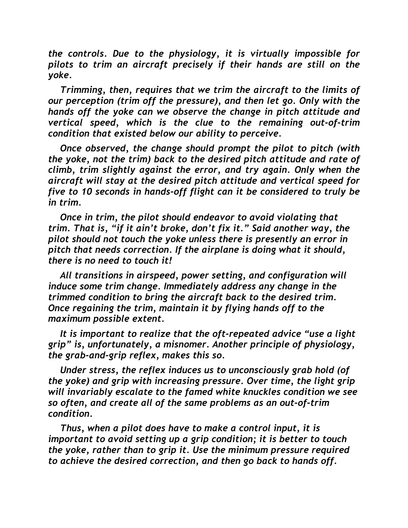*the controls. Due to the physiology, it is virtually impossible for pilots to trim an aircraft precisely if their hands are still on the yoke.* 

*Trimming, then, requires that we trim the aircraft to the limits of our perception (trim off the pressure), and then let go. Only with the hands off the yoke can we observe the change in pitch attitude and vertical speed, which is the clue to the remaining out-of-trim condition that existed below our ability to perceive.*

*Once observed, the change should prompt the pilot to pitch (with the yoke, not the trim) back to the desired pitch attitude and rate of climb, trim slightly against the error, and try again. Only when the aircraft will stay at the desired pitch attitude and vertical speed for five to 10 seconds in hands-off flight can it be considered to truly be in trim.* 

*Once in trim, the pilot should endeavor to avoid violating that trim. That is, "if it ain't broke, don't fix it." Said another way, the pilot should not touch the yoke unless there is presently an error in pitch that needs correction. If the airplane is doing what it should, there is no need to touch it!*

*All transitions in airspeed, power setting, and configuration will induce some trim change. Immediately address any change in the trimmed condition to bring the aircraft back to the desired trim. Once regaining the trim, maintain it by flying hands off to the maximum possible extent.* 

*It is important to realize that the oft-repeated advice "use a light grip" is, unfortunately, a misnomer. Another principle of physiology, the grab-and-grip reflex, makes this so.*

*Under stress, the reflex induces us to unconsciously grab hold (of the yoke) and grip with increasing pressure. Over time, the light grip will invariably escalate to the famed white knuckles condition we see so often, and create all of the same problems as an out-of-trim condition.*

*Thus, when a pilot does have to make a control input, it is important to avoid setting up a grip condition; it is better to touch the yoke, rather than to grip it. Use the minimum pressure required to achieve the desired correction, and then go back to hands off.*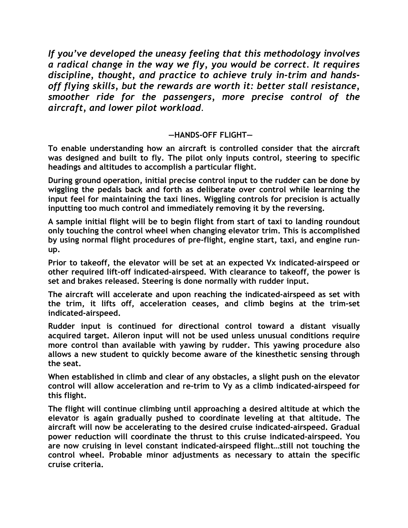*If you've developed the uneasy feeling that this methodology involves a radical change in the way we fly, you would be correct. It requires discipline, thought, and practice to achieve truly in-trim and handsoff flying skills, but the rewards are worth it: better stall resistance, smoother ride for the passengers, more precise control of the aircraft, and lower pilot workload.*

## **—HANDS-OFF FLIGHT—**

**To enable understanding how an aircraft is controlled consider that the aircraft was designed and built to fly. The pilot only inputs control, steering to specific headings and altitudes to accomplish a particular flight.** 

**During ground operation, initial precise control input to the rudder can be done by wiggling the pedals back and forth as deliberate over control while learning the input feel for maintaining the taxi lines. Wiggling controls for precision is actually inputting too much control and immediately removing it by the reversing.** 

**A sample initial flight will be to begin flight from start of taxi to landing roundout only touching the control wheel when changing elevator trim. This is accomplished by using normal flight procedures of pre-flight, engine start, taxi, and engine runup.**

**Prior to takeoff, the elevator will be set at an expected Vx indicated-airspeed or other required lift-off indicated-airspeed. With clearance to takeoff, the power is set and brakes released. Steering is done normally with rudder input.** 

**The aircraft will accelerate and upon reaching the indicated-airspeed as set with the trim, it lifts off, acceleration ceases, and climb begins at the trim-set indicated-airspeed.** 

**Rudder input is continued for directional control toward a distant visually acquired target. Aileron input will not be used unless unusual conditions require more control than available with yawing by rudder. This yawing procedure also allows a new student to quickly become aware of the kinesthetic sensing through the seat.**

**When established in climb and clear of any obstacles, a slight push on the elevator control will allow acceleration and re-trim to Vy as a climb indicated-airspeed for this flight.** 

**The flight will continue climbing until approaching a desired altitude at which the elevator is again gradually pushed to coordinate leveling at that altitude. The aircraft will now be accelerating to the desired cruise indicated-airspeed. Gradual power reduction will coordinate the thrust to this cruise indicated-airspeed. You are now cruising in level constant indicated-airspeed flight…still not touching the control wheel. Probable minor adjustments as necessary to attain the specific cruise criteria.**